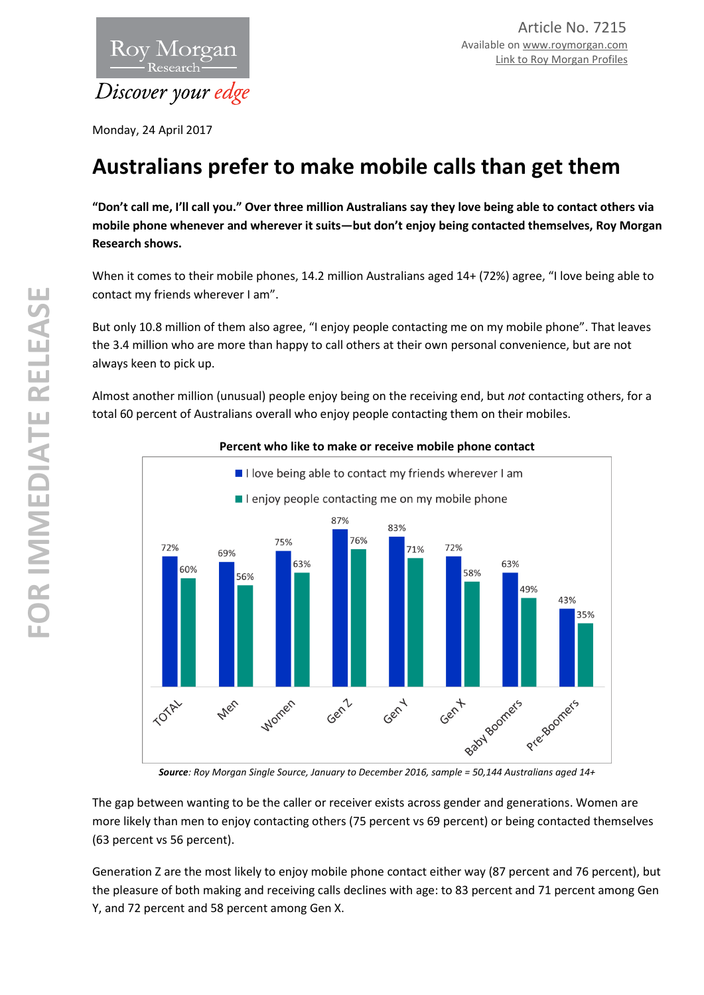

Monday, 24 April 2017

# **Australians prefer to make mobile calls than get them**

**"Don't call me, I'll call you." Over three million Australians say they love being able to contact others via mobile phone whenever and wherever it suits—but don't enjoy being contacted themselves, Roy Morgan Research shows.**

When it comes to their mobile phones, 14.2 million Australians aged 14+ (72%) agree, "I love being able to contact my friends wherever I am".

But only 10.8 million of them also agree, "I enjoy people contacting me on my mobile phone". That leaves the 3.4 million who are more than happy to call others at their own personal convenience, but are not always keen to pick up.

Almost another million (unusual) people enjoy being on the receiving end, but *not* contacting others, for a total 60 percent of Australians overall who enjoy people contacting them on their mobiles.



## **Percent who like to make or receive mobile phone contact**

The gap between wanting to be the caller or receiver exists across gender and generations. Women are more likely than men to enjoy contacting others (75 percent vs 69 percent) or being contacted themselves (63 percent vs 56 percent).

Generation Z are the most likely to enjoy mobile phone contact either way (87 percent and 76 percent), but the pleasure of both making and receiving calls declines with age: to 83 percent and 71 percent among Gen Y, and 72 percent and 58 percent among Gen X.